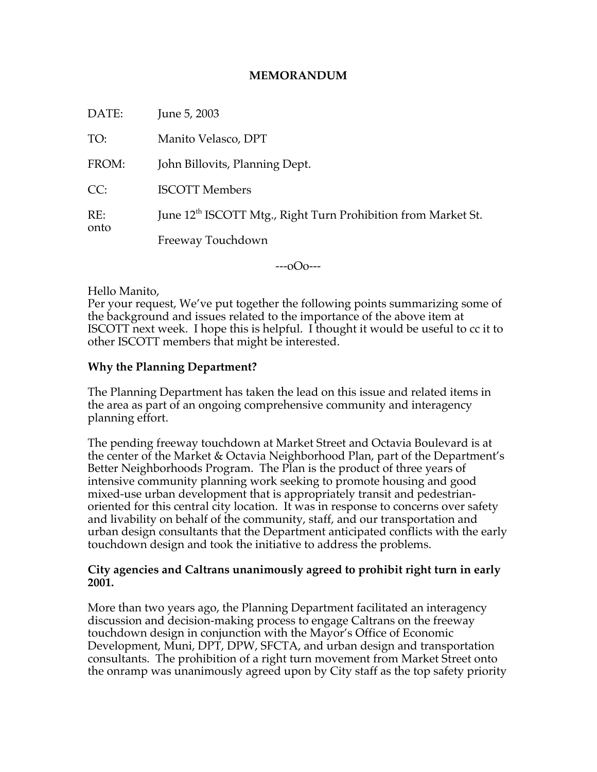## **MEMORANDUM**

| DATE:       | June 5, 2003                                                              |
|-------------|---------------------------------------------------------------------------|
| TO:         | Manito Velasco, DPT                                                       |
| FROM:       | John Billovits, Planning Dept.                                            |
| CC:         | <b>ISCOTT Members</b>                                                     |
| RE:<br>onto | June 12 <sup>th</sup> ISCOTT Mtg., Right Turn Prohibition from Market St. |
|             | Freeway Touchdown                                                         |

 $-0$  $0$  $-$ 

Hello Manito,

Per your request, We've put together the following points summarizing some of the background and issues related to the importance of the above item at ISCOTT next week. I hope this is helpful. I thought it would be useful to cc it to other ISCOTT members that might be interested.

## **Why the Planning Department?**

The Planning Department has taken the lead on this issue and related items in the area as part of an ongoing comprehensive community and interagency planning effort.

The pending freeway touchdown at Market Street and Octavia Boulevard is at the center of the Market & Octavia Neighborhood Plan, part of the Department's Better Neighborhoods Program. The Plan is the product of three years of intensive community planning work seeking to promote housing and good mixed-use urban development that is appropriately transit and pedestrianoriented for this central city location. It was in response to concerns over safety and livability on behalf of the community, staff, and our transportation and urban design consultants that the Department anticipated conflicts with the early touchdown design and took the initiative to address the problems.

## **City agencies and Caltrans unanimously agreed to prohibit right turn in early 2001.**

More than two years ago, the Planning Department facilitated an interagency discussion and decision-making process to engage Caltrans on the freeway touchdown design in conjunction with the Mayor's Office of Economic Development, Muni, DPT, DPW, SFCTA, and urban design and transportation consultants. The prohibition of a right turn movement from Market Street onto the onramp was unanimously agreed upon by City staff as the top safety priority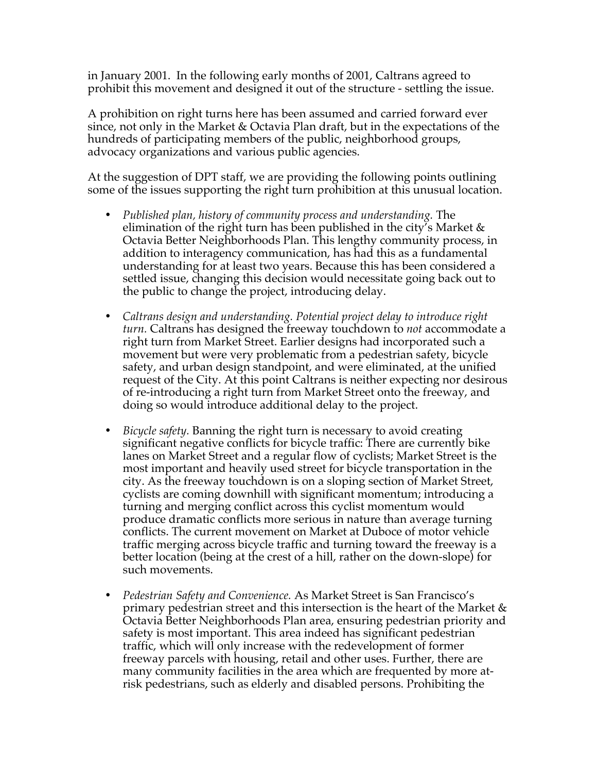in January 2001. In the following early months of 2001, Caltrans agreed to prohibit this movement and designed it out of the structure - settling the issue.

A prohibition on right turns here has been assumed and carried forward ever since, not only in the Market & Octavia Plan draft, but in the expectations of the hundreds of participating members of the public, neighborhood groups, advocacy organizations and various public agencies.

At the suggestion of DPT staff, we are providing the following points outlining some of the issues supporting the right turn prohibition at this unusual location.

- *Published plan, history of community process and understanding.* The elimination of the right turn has been published in the city's Market  $\&$ Octavia Better Neighborhoods Plan. This lengthy community process, in addition to interagency communication, has had this as a fundamental understanding for at least two years. Because this has been considered a settled issue, changing this decision would necessitate going back out to the public to change the project, introducing delay.
- *Caltrans design and understanding. Potential project delay to introduce right turn.* Caltrans has designed the freeway touchdown to *not* accommodate a right turn from Market Street. Earlier designs had incorporated such a movement but were very problematic from a pedestrian safety, bicycle safety, and urban design standpoint, and were eliminated, at the unified request of the City. At this point Caltrans is neither expecting nor desirous of re-introducing a right turn from Market Street onto the freeway, and doing so would introduce additional delay to the project.
- *Bicycle safety.* Banning the right turn is necessary to avoid creating significant negative conflicts for bicycle traffic: There are currently bike lanes on Market Street and a regular flow of cyclists; Market Street is the most important and heavily used street for bicycle transportation in the city. As the freeway touchdown is on a sloping section of Market Street, cyclists are coming downhill with significant momentum; introducing a turning and merging conflict across this cyclist momentum would produce dramatic conflicts more serious in nature than average turning conflicts. The current movement on Market at Duboce of motor vehicle traffic merging across bicycle traffic and turning toward the freeway is a better location (being at the crest of a hill, rather on the down-slope) for such movements.
- *Pedestrian Safety and Convenience.* As Market Street is San Francisco's primary pedestrian street and this intersection is the heart of the Market & Octavia Better Neighborhoods Plan area, ensuring pedestrian priority and safety is most important. This area indeed has significant pedestrian traffic, which will only increase with the redevelopment of former freeway parcels with housing, retail and other uses. Further, there are many community facilities in the area which are frequented by more atrisk pedestrians, such as elderly and disabled persons. Prohibiting the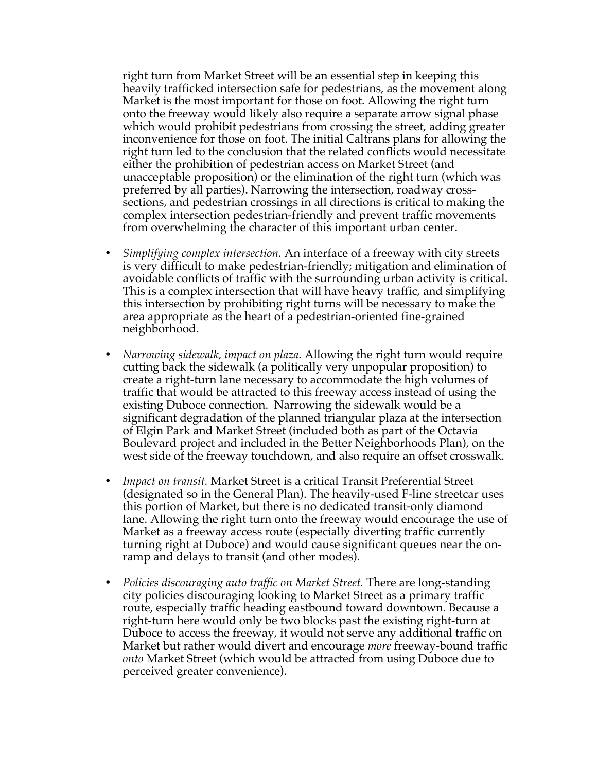right turn from Market Street will be an essential step in keeping this heavily trafficked intersection safe for pedestrians, as the movement along Market is the most important for those on foot. Allowing the right turn onto the freeway would likely also require a separate arrow signal phase which would prohibit pedestrians from crossing the street, adding greater inconvenience for those on foot. The initial Caltrans plans for allowing the right turn led to the conclusion that the related conflicts would necessitate either the prohibition of pedestrian access on Market Street (and unacceptable proposition) or the elimination of the right turn (which was preferred by all parties). Narrowing the intersection, roadway crosssections, and pedestrian crossings in all directions is critical to making the complex intersection pedestrian-friendly and prevent traffic movements from overwhelming the character of this important urban center.

- *Simplifying complex intersection.* An interface of a freeway with city streets is very difficult to make pedestrian-friendly; mitigation and elimination of avoidable conflicts of traffic with the surrounding urban activity is critical. This is a complex intersection that will have heavy traffic, and simplifying this intersection by prohibiting right turns will be necessary to make the area appropriate as the heart of a pedestrian-oriented fine-grained neighborhood.
- *Narrowing sidewalk, impact on plaza.* Allowing the right turn would require cutting back the sidewalk (a politically very unpopular proposition) to create a right-turn lane necessary to accommodate the high volumes of traffic that would be attracted to this freeway access instead of using the existing Duboce connection. Narrowing the sidewalk would be a significant degradation of the planned triangular plaza at the intersection of Elgin Park and Market Street (included both as part of the Octavia Boulevard project and included in the Better Neighborhoods Plan), on the west side of the freeway touchdown, and also require an offset crosswalk.
- *Impact on transit.* Market Street is a critical Transit Preferential Street (designated so in the General Plan). The heavily-used F-line streetcar uses this portion of Market, but there is no dedicated transit-only diamond lane. Allowing the right turn onto the freeway would encourage the use of Market as a freeway access route (especially diverting traffic currently turning right at Duboce) and would cause significant queues near the onramp and delays to transit (and other modes).
- *Policies discouraging auto traffic on Market Street.* There are long-standing city policies discouraging looking to Market Street as a primary traffic route, especially traffic heading eastbound toward downtown. Because a right-turn here would only be two blocks past the existing right-turn at Duboce to access the freeway, it would not serve any additional traffic on Market but rather would divert and encourage *more* freeway-bound traffic *onto* Market Street (which would be attracted from using Duboce due to perceived greater convenience).